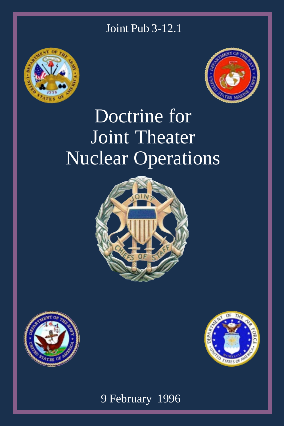## Joint Pub 3-12.1





# Doctrine for Joint Theater Nuclear Operations







## 9 February 1996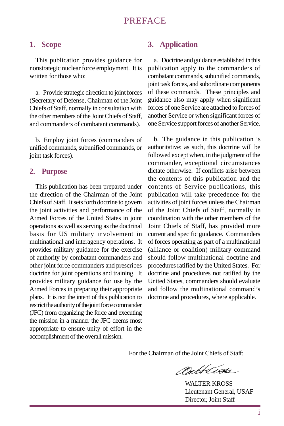## **PREFACE**

#### **1. Scope**

This publication provides guidance for nonstrategic nuclear force employment. It is written for those who:

a. Provide strategic direction to joint forces (Secretary of Defense, Chairman of the Joint Chiefs of Staff, normally in consultation with the other members of the Joint Chiefs of Staff, and commanders of combatant commands).

b. Employ joint forces (commanders of unified commands, subunified commands, or joint task forces).

#### **2. Purpose**

This publication has been prepared under the direction of the Chairman of the Joint Chiefs of Staff. It sets forth doctrine to govern the joint activities and performance of the Armed Forces of the United States in joint operations as well as serving as the doctrinal basis for US military involvement in multinational and interagency operations. It provides military guidance for the exercise of authority by combatant commanders and other joint force commanders and prescribes doctrine for joint operations and training. It provides military guidance for use by the Armed Forces in preparing their appropriate plans. It is not the intent of this publication to restrict the authority of the joint force commander (JFC) from organizing the force and executing the mission in a manner the JFC deems most appropriate to ensure unity of effort in the accomplishment of the overall mission.

#### **3. Application**

a. Doctrine and guidance established in this publication apply to the commanders of combatant commands, subunified commands, joint task forces, and subordinate components of these commands. These principles and guidance also may apply when significant forces of one Service are attached to forces of another Service or when significant forces of one Service support forces of another Service.

b. The guidance in this publication is authoritative; as such, this doctrine will be followed except when, in the judgment of the commander, exceptional circumstances dictate otherwise. If conflicts arise between the contents of this publication and the contents of Service publications, this publication will take precedence for the activities of joint forces unless the Chairman of the Joint Chiefs of Staff, normally in coordination with the other members of the Joint Chiefs of Staff, has provided more current and specific guidance. Commanders of forces operating as part of a multinational (alliance or coalition) military command should follow multinational doctrine and procedures ratified by the United States. For doctrine and procedures not ratified by the United States, commanders should evaluate and follow the multinational command's doctrine and procedures, where applicable.

For the Chairman of the Joint Chiefs of Staff:

Metheran

WALTER KROSS Lieutenant General, USAF Director, Joint Staff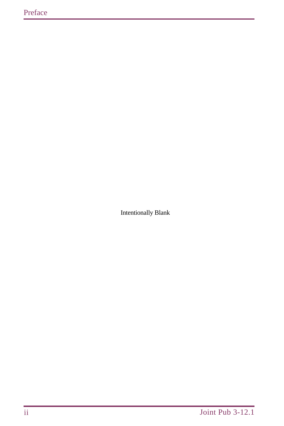Intentionally Blank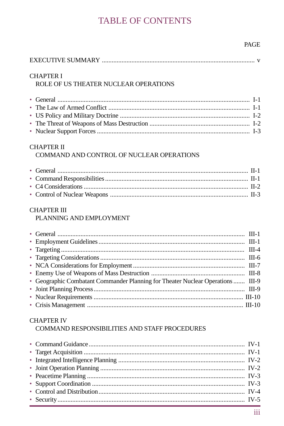## TABLE OF CONTENTS

ROLE OF US THEATER NUCLEAR OPERATIONS

**CHAPTER I** 

PAGE

| <b>CHAPTER II</b>                                                               |
|---------------------------------------------------------------------------------|
| COMMAND AND CONTROL OF NUCLEAR OPERATIONS                                       |
|                                                                                 |
|                                                                                 |
|                                                                                 |
|                                                                                 |
|                                                                                 |
| <b>CHAPTER III</b>                                                              |
| PLANNING AND EMPLOYMENT                                                         |
|                                                                                 |
|                                                                                 |
|                                                                                 |
|                                                                                 |
|                                                                                 |
|                                                                                 |
|                                                                                 |
| • Geographic Combatant Commander Planning for Theater Nuclear Operations  III-9 |
|                                                                                 |
|                                                                                 |
|                                                                                 |
| <b>CHAPTER IV</b>                                                               |
| <b>COMMAND RESPONSIBILITIES AND STAFF PROCEDURES</b>                            |
|                                                                                 |
|                                                                                 |
|                                                                                 |
|                                                                                 |
|                                                                                 |
|                                                                                 |
|                                                                                 |
|                                                                                 |
|                                                                                 |
|                                                                                 |
| 111                                                                             |
|                                                                                 |
|                                                                                 |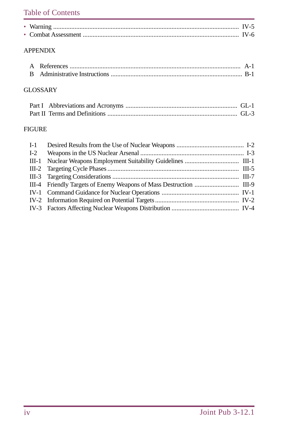## [T](#page-43-0)[able of Contents](#page-41-0)

## A[PPENDIX](#page-12-0)

## G[LOSSARY](#page-29-0)

#### FIGURE

| $I-1$ |  |
|-------|--|
| $I-2$ |  |
|       |  |
|       |  |
|       |  |
|       |  |
|       |  |
|       |  |
|       |  |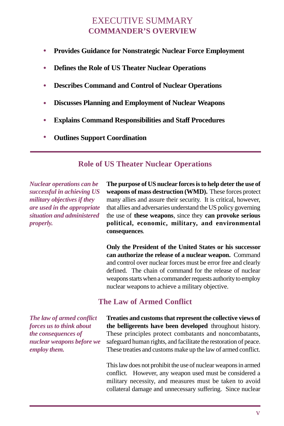## EXECUTIVE SUMMARY **COMMANDER'S OVERVIEW**

- **• Provides Guidance for Nonstrategic Nuclear Force Employment**
- **• Defines the Role of US Theater Nuclear Operations**
- **• Describes Command and Control of Nuclear Operations**
- **• Discusses Planning and Employment of Nuclear Weapons**
- **• Explains Command Responsibilities and Staff Procedures**
- **• Outlines Support Coordination**

## **Role of US Theater Nuclear Operations**

*Nuclear operations can be successful in achieving US military objectives if they are used in the appropriate situation and administered properly.*

**The purpose of US nuclear forces is to help deter the use of weapons of mass destruction (WMD).** These forces protect many allies and assure their security. It is critical, however, that allies and adversaries understand the US policy governing the use of **these weapons**, since they **can provoke serious political, economic, military, and environmental consequences**.

**Only the President of the United States or his successor can authorize the release of a nuclear weapon.** Command and control over nuclear forces must be error free and clearly defined. The chain of command for the release of nuclear weapons starts when a commander requests authority to employ nuclear weapons to achieve a military objective.

## **The Law of Armed Conflict**

*The law of armed conflict forces us to think about the consequences of nuclear weapons before we employ them.*

**Treaties and customs that represent the collective views of the belligerents have been developed** throughout history. These principles protect combatants and noncombatants, safeguard human rights, and facilitate the restoration of peace. These treaties and customs make up the law of armed conflict.

This law does not prohibit the use of nuclear weapons in armed conflict. However, any weapon used must be considered a military necessity, and measures must be taken to avoid collateral damage and unnecessary suffering. Since nuclear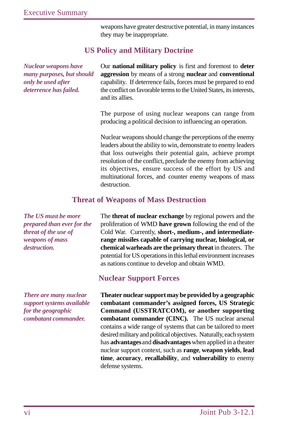weapons have greater destructive potential, in many instances they may be inappropriate.

## **US Policy and Military Doctrine**

*Nuclear weapons have many purposes, but should only be used after deterrence has failed.*

Our **national military policy** is first and foremost to **deter aggression** by means of a strong **nuclear** and **conventional** capability. If deterrence fails, forces must be prepared to end the conflict on favorable terms to the United States, its interests, and its allies.

The purpose of using nuclear weapons can range from producing a political decision to influencing an operation.

Nuclear weapons should change the perceptions of the enemy leaders about the ability to win, demonstrate to enemy leaders that loss outweighs their potential gain, achieve prompt resolution of the conflict, preclude the enemy from achieving its objectives, ensure success of the effort by US and multinational forces, and counter enemy weapons of mass destruction.

#### **Threat of Weapons of Mass Destruction**

*The US must be more prepared than ever for the threat of the use of weapons of mass destruction.*

*There are many nuclear support systems available for the geographic combatant commander.*

The **threat of nuclear exchange** by regional powers and the proliferation of WMD **have grown** following the end of the Cold War. Currently, **short-, medium-, and intermediaterange missiles capable of carrying nuclear, biological, or chemical warheads are the primary threat** in theaters. The potential for US operations in this lethal environment increases as nations continue to develop and obtain WMD.

#### **Nuclear Support Forces**

**Theater nuclear support may be provided by a geographic combatant commander's assigned forces, US Strategic Command (USSTRATCOM), or another supporting combatant commander (CINC).** The US nuclear arsenal contains a wide range of systems that can be tailored to meet desired military and political objectives. Naturally, each system has **advantages** and **disadvantages** when applied in a theater nuclear support context, such as **range**, **weapon yields**, **lead time**, **accuracy**, **recallability**, and **vulnerability** to enemy defense systems.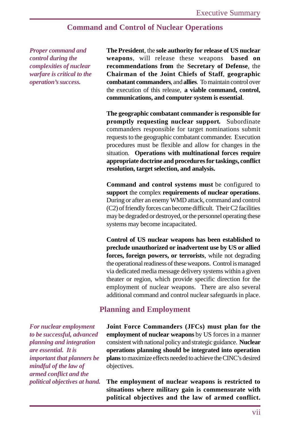## **Command and Control of Nuclear Operations**

*Proper command and control during the complexities of nuclear warfare is critical to the operation's success.*

**ThePresident**, the **sole authority for release of US nuclear weapons**, will release these weapons **based on recommendations from** the **Secretary of Defense**, the **Chairman of the Joint Chiefs of Staff**, **geographic combatant commanders**, and **allies**. To maintain control over the execution of this release, **a viable command, control, communications, and computer system is essential**.

**The geographic combatant commander is responsible for promptly requesting nuclear support.** Subordinate commanders responsible for target nominations submit requests to the geographic combatant commander. Execution procedures must be flexible and allow for changes in the situation. **Operations with multinational forces require appropriate doctrine and procedures for taskings, conflict resolution, target selection, and analysis.**

**Command and control systems must** be configured to **support** the complex **requirements of nuclear operations**. During or after an enemy WMD attack, command and control (C2) of friendly forces can become difficult. Their C2 facilities may be degraded or destroyed, or the personnel operating these systems may become incapacitated.

**Control of US nuclear weapons has been established to preclude unauthorized or inadvertent use by US or allied forces, foreign powers, or terrorists**, while not degrading the operational readiness of these weapons. Control is managed via dedicated media message delivery systems within a given theater or region, which provide specific direction for the employment of nuclear weapons. There are also several additional command and control nuclear safeguards in place.

#### **Planning and Employment**

*For nuclear employment to be successful, advanced planning and integration are essential. It is important that planners be mindful of the law of armed conflict and the political objectives at hand.* **Joint Force Commanders (JFCs) must plan for the employment of nuclear weapons** by US forces in a manner consistent with national policy and strategic guidance. **Nuclear operations planning should be integrated into operation plans** to maximize effects needed to achieve the CINC's desired objectives.

**The employment of nuclear weapons is restricted to situations where military gain is commensurate with political objectives and the law of armed conflict.**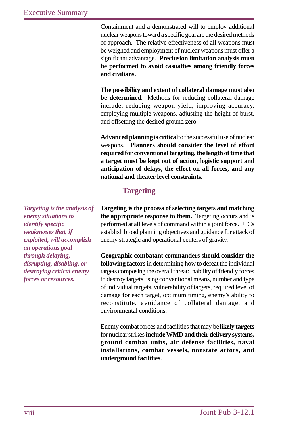Containment and a demonstrated will to employ additional nuclear weapons toward a specific goal are the desired methods of approach. The relative effectiveness of all weapons must be weighed and employment of nuclear weapons must offer a significant advantage. **Preclusion limitation analysis must be performed to avoid casualties among friendly forces and civilians.**

**The possibility and extent of collateral damage must also be determined**. Methods for reducing collateral damage include: reducing weapon yield, improving accuracy, employing multiple weapons, adjusting the height of burst, and offsetting the desired ground zero.

Advanced planning is critical to the successful use of nuclear weapons. **Planners should consider the level of effort required for conventional targeting, the length of time that a target must be kept out of action, logistic support and anticipation of delays, the effect on all forces, and any national and theater level constraints.**

## **Targeting**

**Targeting is the process of selecting targets and matching the appropriate response to them.** Targeting occurs and is performed at all levels of command within a joint force. JFCs establish broad planning objectives and guidance for attack of enemy strategic and operational centers of gravity.

**Geographic combatant commanders should consider the following factors** in determining how to defeat the individual targets composing the overall threat: inability of friendly forces to destroy targets using conventional means, number and type of individual targets, vulnerability of targets, required level of damage for each target, optimum timing, enemy's ability to reconstitute, avoidance of collateral damage, and environmental conditions.

Enemy combat forces and facilities that may be **likely targets** for nuclear strikes **include WMD and their delivery systems, ground combat units, air defense facilities, naval installations, combat vessels, nonstate actors, and underground facilities**.

*Targeting is the analysis of enemy situations to identify specific weaknesses that, if exploited, will accomplish an operations goal through delaying, disrupting, disabling, or destroying critical enemy forces or resources.*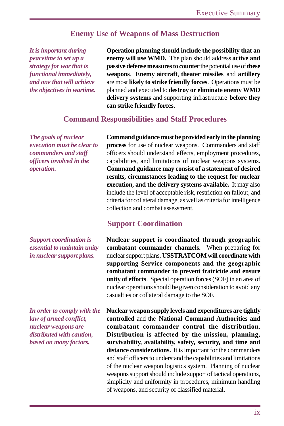## **Enemy Use of Weapons of Mass Destruction**

*It is important during peacetime to set up a strategy for war that is functional immediately, and one that will achieve the objectives in wartime.* **Operation planning should include the possibility that an enemy will use WMD.** The plan should address **active and passive defense measures to counter** the potential use of **these weapons**. **Enemy aircraft**, **theater missiles**, and **artillery** are most **likely to strike friendly forces**. Operations must be planned and executed to **destroy or eliminate enemy WMD delivery systems** and supporting infrastructure **before they can strike friendly forces**.

#### **Command Responsibilities and Staff Procedures**

*The goals of nuclear execution must be clear to commanders and staff officers involved in the operation.*

*Support coordination is essential to maintain unity in nuclear support plans.*

*In order to comply with the law of armed conflict, nuclear weapons are distributed with caution, based on many factors.*

**Command guidance must be provided early in the planning process** for use of nuclear weapons. Commanders and staff officers should understand effects, employment procedures, capabilities, and limitations of nuclear weapons systems. **Command guidance may consist of a statement of desired results, circumstances leading to the request for nuclear execution, and the delivery systems available.** It may also include the level of acceptable risk, restriction on fallout, and criteria for collateral damage, as well as criteria for intelligence collection and combat assessment.

#### **Support Coordination**

**Nuclear support is coordinated through geographic combatant commander channels.** When preparing for nuclear support plans, **USSTRATCOM will coordinate with supporting Service components and the geographic combatant commander to prevent fratricide and ensure unity of efforts**. Special operation forces (SOF) in an area of nuclear operations should be given consideration to avoid any casualties or collateral damage to the SOF.

**Nuclear weapon supply levels and expenditures are tightly controlled** and the **National Command Authorities and combatant commander control the distribution**. **Distribution is affected by the mission, planning, survivability, availability, safety, security, and time and distance considerations.** It is important for the commanders and staff officers to understand the capabilities and limitations of the nuclear weapon logistics system. Planning of nuclear weapons support should include support of tactical operations, simplicity and uniformity in procedures, minimum handling of weapons, and security of classified material.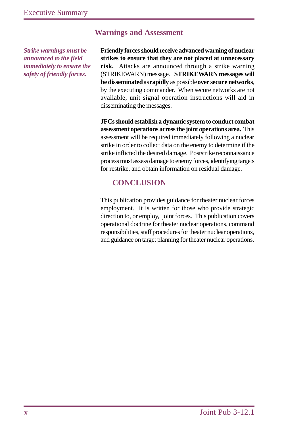## **Warnings and Assessment**

*Strike warnings must be announced to the field immediately to ensure the safety of friendly forces.*

**Friendly forces should receive advanced warning of nuclear strikes to ensure that they are not placed at unnecessary risk.** Attacks are announced through a strike warning (STRIKEWARN) message. **STRIKEWARN messages will be disseminated** as **rapidly** as possible **over secure networks**, by the executing commander. When secure networks are not available, unit signal operation instructions will aid in disseminating the messages.

**JFCs should establish a dynamic system to conduct combat assessment operations across the joint operations area.** This assessment will be required immediately following a nuclear strike in order to collect data on the enemy to determine if the strike inflicted the desired damage. Poststrike reconnaissance process must assess damage to enemy forces, identifying targets for restrike, and obtain information on residual damage.

#### **CONCLUSION**

This publication provides guidance for theater nuclear forces employment. It is written for those who provide strategic direction to, or employ, joint forces. This publication covers operational doctrine for theater nuclear operations, command responsibilities, staff procedures for theater nuclear operations, and guidance on target planning for theater nuclear operations.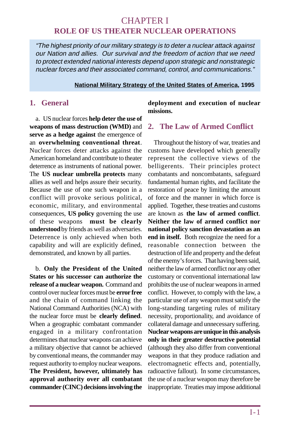## CHAPTER I **ROLE OF US THEATER NUCLEAR OPERATIONS**

"The highest priority of our military strategy is to deter a nuclear attack against our Nation and allies. Our survival and the freedom of action that we need to protect extended national interests depend upon strategic and nonstrategic nuclear forces and their associated command, control, and communications."

#### **National Military Strategy of the United States of America, 1995**

#### **1. General**

a. US nuclear forces **help deter the use of weapons of mass destruction (WMD)** and **serve as a hedge against** the emergence of an **overwhelming conventional threat**. Nuclear forces deter attacks against the American homeland and contribute to theater deterrence as instruments of national power. The **US nuclear umbrella protects** many allies as well and helps assure their security. Because the use of one such weapon in a conflict will provoke serious political, economic, military, and environmental consequences, **US policy** governing the use of these weapons **must be clearly understood** by friends as well as adversaries. Deterrence is only achieved when both capability and will are explicitly defined, demonstrated, and known by all parties.

b. **Only the President of the United States or his successor can authorize the release of a nuclear weapon.** Command and control over nuclear forces must be **error free** and the chain of command linking the National Command Authorities (NCA) with the nuclear force must be **clearly defined**. When a geographic combatant commander engaged in a military confrontation determines that nuclear weapons can achieve a military objective that cannot be achieved by conventional means, the commander may request authority to employ nuclear weapons. **The President, however, ultimately has approval authority over all combatant commander (CINC) decisions involving the**

**deployment and execution of nuclear missions.**

#### **2. The Law of Armed Conflict**

Throughout the history of war, treaties and customs have developed which generally represent the collective views of the belligerents. Their principles protect combatants and noncombatants, safeguard fundamental human rights, and facilitate the restoration of peace by limiting the amount of force and the manner in which force is applied. Together, these treaties and customs are known as **the law of armed conflict**. **Neither the law of armed conflict nor national policy sanction devastation as an end in itself.** Both recognize the need for a reasonable connection between the destruction of life and property and the defeat of the enemy's forces. That having been said, neither the law of armed conflict nor any other customary or conventional international law prohibits the use of nuclear weapons in armed conflict. However, to comply with the law, a particular use of any weapon must satisfy the long-standing targeting rules of military necessity, proportionality, and avoidance of collateral damage and unnecessary suffering. **Nuclear weapons are unique in this analysis only in their greater destructive potential** (although they also differ from conventional weapons in that they produce radiation and electromagnetic effects and, potentially, radioactive fallout). In some circumstances, the use of a nuclear weapon may therefore be inappropriate. Treaties may impose additional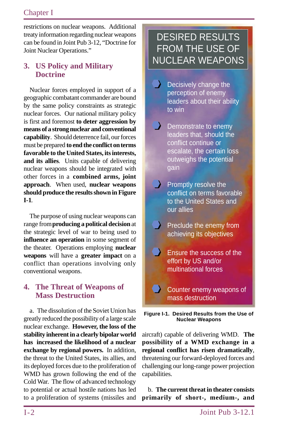<span id="page-12-0"></span>restrictions on nuclear weapons. Additional treaty information regarding nuclear weapons can be found in Joint Pub 3-12, "Doctrine for Joint Nuclear Operations."

## **3. US Policy and Military Doctrine**

Nuclear forces employed in support of a geographic combatant commander are bound by the same policy constraints as strategic nuclear forces. Our national military policy is first and foremost **to deter aggression by means of a strong nuclear and conventional capability**. Should deterrence fail, our forces must be prepared **to end the conflict onterms favorable to the United States, its interests, and its allies**. Units capable of delivering nuclear weapons should be integrated with other forces in a **combined arms, joint approach**. When used, **nuclear weapons should produce the results shown in Figure I-1**.

The purpose of using nuclear weapons can range from **producing a political decision** at the strategic level of war to being used to **influence an operation** in some segment of the theater. Operations employing **nuclear weapons** will have a **greater impact** on a conflict than operations involving only conventional weapons.

## **4. The Threat of Weapons of Mass Destruction**

a. The dissolution of the Soviet Union has greatly reduced the possibility of a large scale nuclear exchange. **However, the loss of the stability inherent in a clearly bipolar world has increased the likelihood of a nuclear exchange by regional powers.** In addition, the threat to the United States, its allies, and its deployed forces due to the proliferation of WMD has grown following the end of the Cold War. The flow of advanced technology to potential or actual hostile nations has led to a proliferation of systems (missiles and

## DESIRED RESULTS FROM THE USE OF NUCLEAR WEAPONS

- Decisively change the perception of enemy leaders about their ability to win
- Demonstrate to enemy leaders that, should the conflict continue or escalate, the certain loss outweighs the potential gain

Promptly resolve the conflict on terms favorable to the United States and our allies

- Preclude the enemy from achieving its objectives
- Ensure the success of the effort by US and/or multinational forces

Counter enemy weapons of mass destruction

#### **Figure I-1. Desired Results from the Use of Nuclear Weapons**

aircraft) capable of delivering WMD. **The possibility of a WMD exchange in a regional conflict has risen dramatically**, threatening our forward-deployed forces and challenging our long-range power projection capabilities.

b. **The current threat in theater consists primarily of short-, medium-, and**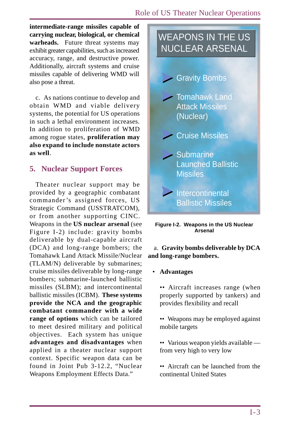**intermediate-range missiles capable of carrying nuclear, biological, or chemical warheads.** Future threat systems may exhibit greater capabilities, such as increased accuracy, range, and destructive power. Additionally, aircraft systems and cruise missiles capable of delivering WMD will also pose a threat.

c. As nations continue to develop and obtain WMD and viable delivery systems, the potential for US operations in such a lethal environment increases. In addition to proliferation of WMD among rogue states, **proliferation may also expand to include nonstate actors as well**.

## **5. Nuclear Support Forces**

Theater nuclear support may be provided by a geographic combatant commander 's assigned forces, US Strategic Command (USSTRATCOM), or from another supporting CINC. Weapons in the **US nuclear arsenal** (see Figure I-2) include: gravity bombs deliverable by dual-capable aircraft (DCA) and long-range bombers; the Tomahawk Land Attack Missile/Nuclear (TLAM/N) deliverable by submarines; cruise missiles deliverable by long-range bombers; submarine-launched ballistic missiles (SLBM); and intercontinental ballistic missiles (ICBM). **These systems provide the NCA and the geographic combatant commander with a wide range of options** which can be tailored to meet desired military and political objectives. Each system has unique **advantages and disadvantages** when applied in a theater nuclear support context. Specific weapon data can be found in Joint Pub 3-12.2, "Nuclear Weapons Employment Effects Data."

## WEAPONS IN THE US NUCLEAR ARSENAL

| - Gravity Bombs                                             |  |
|-------------------------------------------------------------|--|
| <b>Tomahawk Land</b><br><b>Attack Missiles</b><br>(Nuclear) |  |
| Cruise Missiles                                             |  |
| - Submarine<br><b>Launched Ballistic</b><br><b>Missiles</b> |  |
| Intercontinental<br><b>Ballistic Missiles</b>               |  |

**Figure I-2. Weapons in the US Nuclear Arsenal**

a. **Gravity bombs deliverable by DCA and long-range bombers.**

• **Advantages**

•• Aircraft increases range (when properly supported by tankers) and provides flexibility and recall

- •• Weapons may be employed against mobile targets
- •• Various weapon yields available from very high to very low
- •• Aircraft can be launched from the continental United States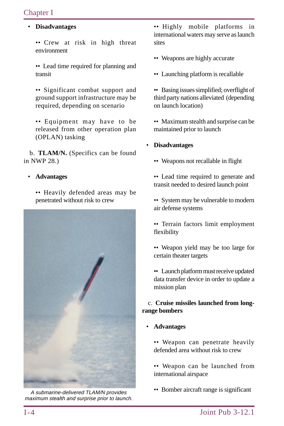## Chapter I

#### • **Disadvantages**

•• Crew at risk in high threat environment

•• Lead time required for planning and transit

•• Significant combat support and ground support infrastructure may be required, depending on scenario

•• Equipment may have to be released from other operation plan (OPLAN) tasking

b. **TLAM/N.** (Specifics can be found in NWP 28.)

#### • **Advantages**

•• Heavily defended areas may be penetrated without risk to crew



maximum stealth and surprise prior to launch.

•• Highly mobile platforms in international waters may serve as launch sites

- •• Weapons are highly accurate
- Launching platform is recallable

•• Basing issues simplified; overflight of third party nations alleviated (depending on launch location)

•• Maximum stealth and surprise can be maintained prior to launch

#### • **Disadvantages**

- Weapons not recallable in flight
- Lead time required to generate and transit needed to desired launch point
- •• System may be vulnerable to modern air defense systems
- Terrain factors limit employment flexibility
- •• Weapon yield may be too large for certain theater targets

•• Launch platform must receive updated data transfer device in order to update a mission plan

#### c. **Cruise missiles launched from longrange bombers**

• **Advantages**

•• Weapon can penetrate heavily defended area without risk to crew

•• Weapon can be launched from international airspace

•• Bomber aircraft range is significant A submarine-delivered TLAM/N provides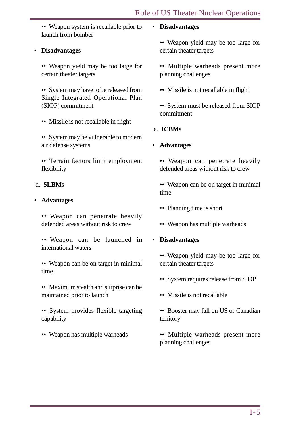•• Weapon system is recallable prior to launch from bomber

#### • **Disadvantages**

•• Weapon yield may be too large for certain theater targets

•• System may have to be released from Single Integrated Operational Plan (SIOP) commitment

• Missile is not recallable in flight

•• System may be vulnerable to modern air defense systems

•• Terrain factors limit employment flexibility

#### d. **SLBMs**

#### • **Advantages**

•• Weapon can penetrate heavily defended areas without risk to crew

•• Weapon can be launched in international waters

•• Weapon can be on target in minimal time

•• Maximum stealth and surprise can be maintained prior to launch

•• System provides flexible targeting capability

•• Weapon has multiple warheads

• **Disadvantages**

•• Weapon yield may be too large for certain theater targets

•• Multiple warheads present more planning challenges

• Missile is not recallable in flight

•• System must be released from SIOP commitment

#### e. **ICBMs**

#### • **Advantages**

•• Weapon can penetrate heavily defended areas without risk to crew

• Weapon can be on target in minimal time

- Planning time is short
- Weapon has multiple warheads

#### • **Disadvantages**

•• Weapon yield may be too large for certain theater targets

- System requires release from SIOP
- •• Missile is not recallable
- •• Booster may fall on US or Canadian territory
- •• Multiple warheads present more planning challenges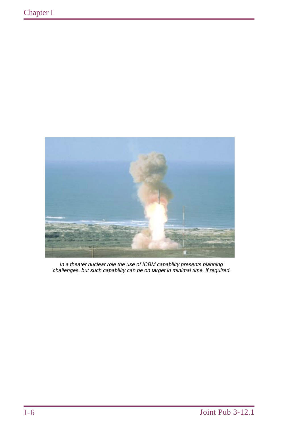

In a theater nuclear role the use of ICBM capability presents planning challenges, but such capability can be on target in minimal time, if required.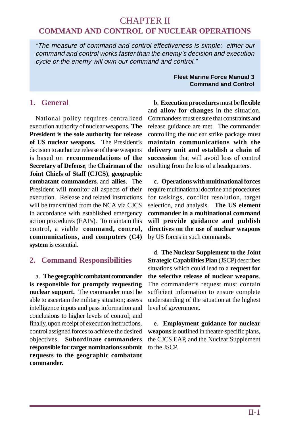## <span id="page-17-0"></span>CHAPTER II **COMMAND AND CONTROL OF NUCLEAR OPERATIONS**

"The measure of command and control effectiveness is simple: either our command and control works faster than the enemy's decision and execution cycle or the enemy will own our command and control."

## **1. General**

National policy requires centralized execution authority of nuclear weapons. **The President is the sole authority for release of US nuclear weapons.** The President's decision to authorize release of these weapons is based on **recommendations of the Secretary of Defense**, the **Chairman of the Joint Chiefs of Staff (CJCS)**, **geographic combatant commanders**, and **allies**. The President will monitor all aspects of their execution. Release and related instructions will be transmitted from the NCA via CJCS in accordance with established emergency action procedures (EAPs). To maintain this control, a viable **command, control, communications, and computers (C4) system** is essential.

#### **2. Command Responsibilities**

a. **The geographic combatant commander is responsible for promptly requesting nuclear support.** The commander must be able to ascertain the military situation; assess intelligence inputs and pass information and conclusions to higher levels of control; and finally, upon receipt of execution instructions, control assigned forces to achieve the desired objectives. **Subordinate commanders responsible for target nominations submit requests to the geographic combatant commander.**

b. **Execution procedures** must be **flexible** and **allow for changes** in the situation. Commanders must ensure that constraints and release guidance are met. The commander controlling the nuclear strike package must **maintain communications with the delivery unit and establish a chain of succession** that will avoid loss of control resulting from the loss of a headquarters.

**Fleet Marine Force Manual 3 Command and Control**

c. **Operations with multinational forces** require multinational doctrine and procedures for taskings, conflict resolution, target selection, and analysis. **The US element commander in a multinational command will provide guidance and publish directives on the use of nuclear weapons** by US forces in such commands.

d. **The Nuclear Supplement to the Joint Strategic Capabilities Plan** (JSCP) describes situations which could lead to a **request for the selective release of nuclear weapons**. The commander's request must contain sufficient information to ensure complete understanding of the situation at the highest level of government.

e. **Employment guidance for nuclear weapons** is outlined in theater-specific plans, the CJCS EAP, and the Nuclear Supplement to the JSCP.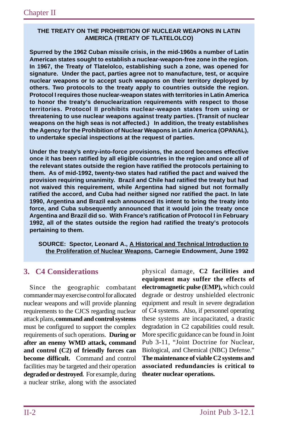#### **THE TREATY ON THE PROHIBITION OF NUCLEAR WEAPONS IN LATIN AMERICA (TREATY OF TLATELOLCO)**

**Spurred by the 1962 Cuban missile crisis, in the mid-1960s a number of Latin American states sought to establish a nuclear-weapon-free zone in the region. In 1967, the Treaty of Tlatelolco, establishing such a zone, was opened for signature. Under the pact, parties agree not to manufacture, test, or acquire nuclear weapons or to accept such weapons on their territory deployed by others. Two protocols to the treaty apply to countries outside the region. Protocol I requires those nuclear-weapon states with territories in Latin America to honor the treaty's denuclearization requirements with respect to those territories. Protocol II prohibits nuclear-weapon states from using or threatening to use nuclear weapons against treaty parties. (Transit of nuclear weapons on the high seas is not affected.) In addition, the treaty establishes the Agency for the Prohibition of Nuclear Weapons in Latin America (OPANAL), to undertake special inspections at the request of parties.**

**Under the treaty's entry-into-force provisions, the accord becomes effective once it has been ratified by all eligible countries in the region and once all of the relevant states outside the region have ratified the protocols pertaining to them. As of mid-1992, twenty-two states had ratified the pact and waived the provision requiring unanimity. Brazil and Chile had ratified the treaty but had not waived this requirement, while Argentina had signed but not formally ratified the accord, and Cuba had neither signed nor ratified the pact. In late 1990, Argentina and Brazil each announced its intent to bring the treaty into force, and Cuba subsequently announced that it would join the treaty once Argentina and Brazil did so. With France's ratification of Protocol I in February 1992, all of the states outside the region had ratified the treaty's protocols pertaining to them.**

**SOURCE: Spector, Leonard A., A Historical and Technical Introduction to the Proliferation of Nuclear Weapons, Carnegie Endowment, June 1992**

#### **3. C4 Considerations**

Since the geographic combatant commander may exercise control for allocated nuclear weapons and will provide planning requirements to the CJCS regarding nuclear attack plans, **command and control systems** must be configured to support the complex requirements of such operations. **During or after an enemy WMD attack, command and control (C2) of friendly forces can become difficult.** Command and control facilities may be targeted and their operation **degraded or destroyed**. For example, during a nuclear strike, along with the associated

physical damage, **C2 facilities and equipment may suffer the effects of electromagnetic pulse (EMP),** which could degrade or destroy unshielded electronic equipment and result in severe degradation of C4 systems. Also, if personnel operating these systems are incapacitated, a drastic degradation in C2 capabilities could result. More specific guidance can be found in Joint Pub 3-11, "Joint Doctrine for Nuclear, Biological, and Chemical (NBC) Defense." **The maintenance of viable C2 systems and associated redundancies is critical to theater nuclear operations.**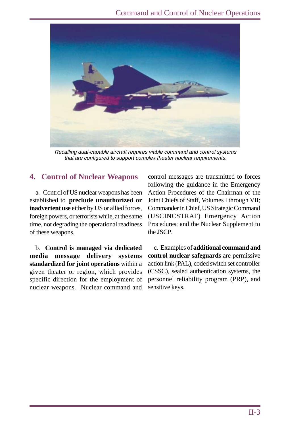<span id="page-19-0"></span>

Recalling dual-capable aircraft requires viable command and control systems that are configured to support complex theater nuclear requirements.

## **4. Control of Nuclear Weapons**

a. Control of US nuclear weapons has been established to **preclude unauthorized or inadvertent use** either by US or allied forces, foreign powers, or terrorists while, at the same time, not degrading the operational readiness of these weapons.

b. **Control is managed via dedicated media message delivery systems standardized for joint operations** within a given theater or region, which provides specific direction for the employment of nuclear weapons. Nuclear command and

control messages are transmitted to forces following the guidance in the Emergency Action Procedures of the Chairman of the Joint Chiefs of Staff, Volumes I through VII; Commander in Chief, US Strategic Command (USCINCSTRAT) Emergency Action Procedures; and the Nuclear Supplement to the JSCP.

c. Examples of **additional command and control nuclear safeguards** are permissive action link (PAL), coded switch set controller (CSSC), sealed authentication systems, the personnel reliability program (PRP), and sensitive keys.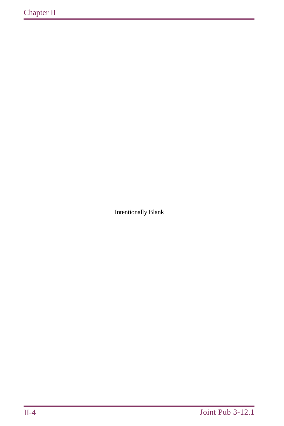Intentionally Blank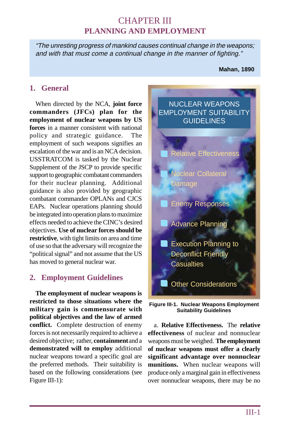## CHAPTER III **PLANNING AND EMPLOYMENT**

<span id="page-21-0"></span>"The unresting progress of mankind causes continual change in the weapons; and with that must come a continual change in the manner of fighting."

**Mahan, 1890**

## **1. General**

When directed by the NCA, **joint force commanders (JFCs) plan for the employment of nuclear weapons by US forces** in a manner consistent with national policy and strategic guidance. The employment of such weapons signifies an escalation of the war and is an NCA decision. USSTRATCOM is tasked by the Nuclear Supplement of the JSCP to provide specific support to geographic combatant commanders for their nuclear planning. Additional guidance is also provided by geographic combatant commander OPLANs and CJCS EAPs. Nuclear operations planning should be integrated into operation plans to maximize effects needed to achieve the CINC's desired objectives. **Use of nuclear forces should be restrictive**, with tight limits on area and time of use so that the adversary will recognize the "political signal" and not assume that the US has moved to general nuclear war.

## **2. Employment Guidelines**

**The employment of nuclear weapons is restricted to those situations where the military gain is commensurate with political objectives and the law of armed conflict.** Complete destruction of enemy forces is not necessarily required to achieve a desired objective; rather, **containment** and a **demonstrated will to employ** additional nuclear weapons toward a specific goal are the preferred methods. Their suitability is based on the following considerations (see Figure III-1):



**Figure III-1. Nuclear Weapons Employment Suitability Guidelines**

a. **Relative Effectiveness.** The **relative effectiveness** of nuclear and nonnuclear weapons must be weighed. **The employment of nuclear weapons must offer a clearly significant advantage over nonnuclear munitions.** When nuclear weapons will produce only a marginal gain in effectiveness over nonnuclear weapons, there may be no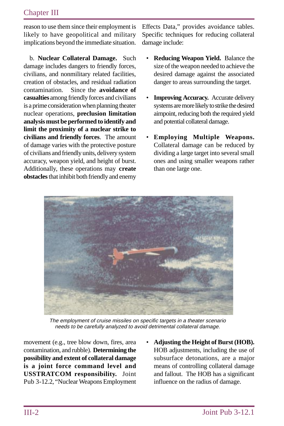reason to use them since their employment is likely to have geopolitical and military implications beyond the immediate situation.

b. **Nuclear Collateral Damage.** Such damage includes dangers to friendly forces, civilians, and nonmilitary related facilities, creation of obstacles, and residual radiation contamination. Since the **avoidance of casualties** among friendly forces and civilians is a prime consideration when planning theater nuclear operations, **preclusion limitation analysis must be performed to identify and limit the proximity of a nuclear strike to civilians and friendly forces**. The amount of damage varies with the protective posture of civilians and friendly units, delivery system accuracy, weapon yield, and height of burst. Additionally, these operations may **create obstacles** that inhibit both friendly and enemy

Effects Data," provides avoidance tables. Specific techniques for reducing collateral damage include:

- **Reducing Weapon Yield.** Balance the size of the weapon needed to achieve the desired damage against the associated danger to areas surrounding the target.
- **Improving Accuracy.** Accurate delivery systems are more likely to strike the desired aimpoint, reducing both the required yield and potential collateral damage.
- **Employing Multiple Weapons.** Collateral damage can be reduced by dividing a large target into several small ones and using smaller weapons rather than one large one.



The employment of cruise missiles on specific targets in a theater scenario needs to be carefully analyzed to avoid detrimental collateral damage.

movement (e.g., tree blow down, fires, area contamination, and rubble). **Determining the possibility and extent of collateral damage is a joint force command level and USSTRATCOM responsibility.** Joint Pub 3-12.2, "Nuclear Weapons Employment

• **Adjusting the Height of Burst (HOB).** HOB adjustments, including the use of subsurface detonations, are a major means of controlling collateral damage and fallout. The HOB has a significant influence on the radius of damage.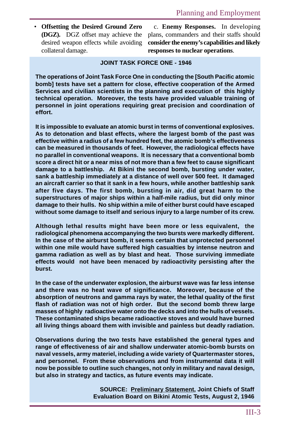• **Offsetting the Desired Ground Zero (DGZ).** DGZ offset may achieve the desired weapon effects while avoiding collateral damage.

c. **Enemy Responses.** In developing plans, commanders and their staffs should **consider the enemy's capabilities and likely responses to nuclear operations**.

#### **JOINT TASK FORCE ONE - 1946**

**The operations of Joint Task Force One in conducting the [South Pacific atomic bomb] tests have set a pattern for close, effective cooperation of the Armed Services and civilian scientists in the planning and execution of this highly technical operation. Moreover, the tests have provided valuable training of personnel in joint operations requiring great precision and coordination of effort.**

**It is impossible to evaluate an atomic burst in terms of conventional explosives. As to detonation and blast effects, where the largest bomb of the past was effective within a radius of a few hundred feet, the atomic bomb's effectiveness can be measured in thousands of feet. However, the radiological effects have no parallel in conventional weapons. It is necessary that a conventional bomb score a direct hit or a near miss of not more than a few feet to cause significant damage to a battleship. At Bikini the second bomb, bursting under water, sank a battleship immediately at a distance of well over 500 feet. It damaged an aircraft carrier so that it sank in a few hours, while another battleship sank after five days. The first bomb, bursting in air, did great harm to the superstructures of major ships within a half-mile radius, but did only minor damage to their hulls. No ship within a mile of either burst could have escaped without some damage to itself and serious injury to a large number of its crew.**

**Although lethal results might have been more or less equivalent, the radiological phenomena accompanying the two bursts were markedly different. In the case of the airburst bomb, it seems certain that unprotected personnel within one mile would have suffered high casualties by intense neutron and gamma radiation as well as by blast and heat. Those surviving immediate effects would not have been menaced by radioactivity persisting after the burst.**

**In the case of the underwater explosion, the airburst wave was far less intense and there was no heat wave of significance. Moreover, because of the absorption of neutrons and gamma rays by water, the lethal quality of the first flash of radiation was not of high order. But the second bomb threw large masses of highly radioactive water onto the decks and into the hulls of vessels. These contaminated ships became radioactive stoves and would have burned all living things aboard them with invisible and painless but deadly radiation.**

**Observations during the two tests have established the general types and range of effectiveness of air and shallow underwater atomic-bomb bursts on naval vessels, army materiel, including a wide variety of Quartermaster stores, and personnel. From these observations and from instrumental data it will now be possible to outline such changes, not only in military and naval design, but also in strategy and tactics, as future events may indicate.**

> **SOURCE: Preliminary Statement, Joint Chiefs of Staff Evaluation Board on Bikini Atomic Tests, August 2, 1946**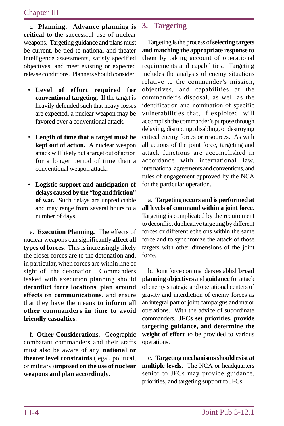<span id="page-24-0"></span>d. **Planning. Advance planning is critical** to the successful use of nuclear weapons. Targeting guidance and plans must be current, be tied to national and theater intelligence assessments, satisfy specified objectives, and meet existing or expected release conditions. Planners should consider:

- **Level of effort required for conventional targeting.** If the target is heavily defended such that heavy losses are expected, a nuclear weapon may be favored over a conventional attack.
- **Length of time that a target must be kept out of action.** A nuclear weapon attack will likely put a target out of action for a longer period of time than a conventional weapon attack.
- **Logistic support and anticipation of delays caused by the "fog and friction" of war.** Such delays are unpredictable and may range from several hours to a number of days.

e. **Execution Planning.** The effects of nuclear weapons can significantly **affect all types of forces**. This is increasingly likely the closer forces are to the detonation and, in particular, when forces are within line of sight of the detonation. Commanders tasked with execution planning should **deconflict force locations**, **plan around effects on communications**, and ensure that they have the means **to inform all other commanders in time to avoid friendly casualties**.

f. **Other Considerations.** Geographic combatant commanders and their staffs must also be aware of any **national or theater level constraints** (legal, political, or military) **imposed on the use of nuclear weapons and plan accordingly**.

## **3. Targeting**

Targeting is the process of **selecting targets and matching the appropriate response to them** by taking account of operational requirements and capabilities. Targeting includes the analysis of enemy situations relative to the commander's mission, objectives, and capabilities at the commander's disposal, as well as the identification and nomination of specific vulnerabilities that, if exploited, will accomplish the commander's purpose through delaying, disrupting, disabling, or destroying critical enemy forces or resources. As with all actions of the joint force, targeting and attack functions are accomplished in accordance with international law, international agreements and conventions, and rules of engagement approved by the NCA for the particular operation.

a. **Targeting occurs and is performed at all levels of command within a joint force.** Targeting is complicated by the requirement to deconflict duplicative targeting by different forces or different echelons within the same force and to synchronize the attack of those targets with other dimensions of the joint force.

b. Joint force commanders establish **broad planning objectives** and **guidance** for attack of enemy strategic and operational centers of gravity and interdiction of enemy forces as an integral part of joint campaigns and major operations. With the advice of subordinate commanders, **JFCs set priorities, provide targeting guidance, and determine the weight of effort** to be provided to various operations.

c. **Targeting mechanisms should exist at multiple levels.** The NCA or headquarters senior to JFCs may provide guidance. priorities, and targeting support to JFCs.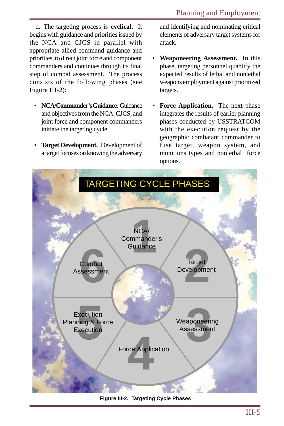<span id="page-25-0"></span>d. The targeting process is **cyclical**. It begins with guidance and priorities issued by the NCA and CJCS in parallel with appropriate allied command guidance and priorities, to direct joint force and component commanders and continues through its final step of combat assessment. The process consists of the following phases (see Figure III-2):

- **NCA/Commander's Guidance.** Guidance and objectives from the NCA, CJCS, and joint force and component commanders initiate the targeting cycle.
- **Target Development.** Development of a target focuses on knowing the adversary

and identifying and nominating critical elements of adversary target systems for attack.

- **Weaponeering Assessment.** In this phase, targeting personnel quantify the expected results of lethal and nonlethal weapons employment against prioritized targets.
- Force Application. The next phase integrates the results of earlier planning phases conducted by USSTRATCOM with the execution request by the geographic combatant commander to fuse target, weapon system, and munitions types and nonlethal force options.



**Figure III-2. Targeting Cycle Phases**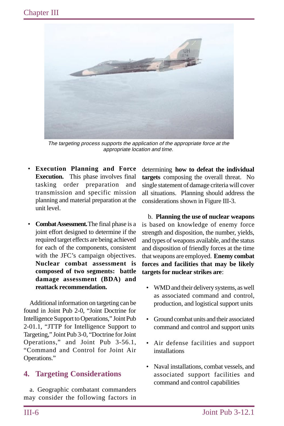![](_page_26_Picture_1.jpeg)

The targeting process supports the application of the appropriate force at the appropriate location and time.

- **Execution Planning and Force Execution.** This phase involves final tasking order preparation and transmission and specific mission planning and material preparation at the unit level.
- **Combat Assessment.** The final phase is a joint effort designed to determine if the required target effects are being achieved for each of the components, consistent with the JFC's campaign objectives. **Nuclear combat assessment is composed of two segments: battle damage assessment (BDA) and reattack recommendation.**

Additional information on targeting can be found in Joint Pub 2-0, "Joint Doctrine for Intelligence Support to Operations," Joint Pub 2-01.1, "JTTP for Intelligence Support to Targeting," Joint Pub 3-0, "Doctrine for Joint Operations," and Joint Pub 3-56.1, "Command and Control for Joint Air Operations."

#### **4. Targeting Considerations**

a. Geographic combatant commanders may consider the following factors in determining **how to defeat the individual targets** composing the overall threat. No single statement of damage criteria will cover all situations. Planning should address the considerations shown in Figure III-3.

b. **Planning the use of nuclear weapons** is based on knowledge of enemy force strength and disposition, the number, yields, and types of weapons available, and the status and disposition of friendly forces at the time that weapons are employed. **Enemy combat forces and facilities that may be likely targets for nuclear strikes are**:

- WMD and their delivery systems, as well as associated command and control, production, and logistical support units
- Ground combat units and their associated command and control and support units
- Air defense facilities and support installations
- Naval installations, combat vessels, and associated support facilities and command and control capabilities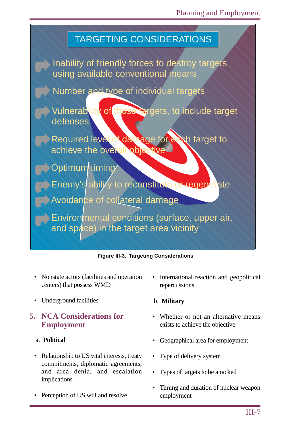<span id="page-27-0"></span>![](_page_27_Figure_1.jpeg)

![](_page_27_Figure_2.jpeg)

- Nonstate actors (facilities and operation centers) that possess WMD
- Underground facilities

## **5. NCA Considerations for Employment**

#### a. **Political**

- Relationship to US vital interests, treaty commitments, diplomatic agreements, and area denial and escalation implications
- Perception of US will and resolve

• International reaction and geopolitical repercussions

#### b. **Military**

- Whether or not an alternative means exists to achieve the objective
- Geographical area for employment
- Type of delivery system
- Types of targets to be attacked
- Timing and duration of nuclear weapon employment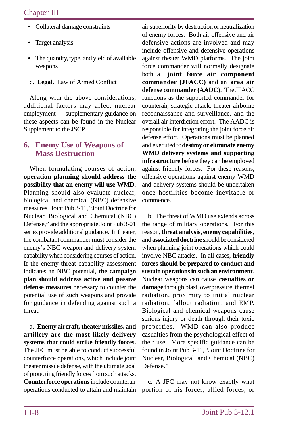- <span id="page-28-0"></span>• Collateral damage constraints
- Target analysis
- The quantity, type, and yield of available weapons
- c. **Legal.** Law of Armed Conflict

Along with the above considerations, additional factors may affect nuclear employment — supplementary guidance on these aspects can be found in the Nuclear Supplement to the JSCP.

## **6. Enemy Use of Weapons of Mass Destruction**

When formulating courses of action, **operation planning should address the possibility that an enemy will use WMD**. Planning should also evaluate nuclear, biological and chemical (NBC) defensive measures. Joint Pub 3-11, "Joint Doctrine for Nuclear, Biological and Chemical (NBC) Defense," and the appropriate Joint Pub 3-01 series provide additional guidance. In theater, the combatant commander must consider the enemy's NBC weapon and delivery system capability when considering courses of action. If the enemy threat capability assessment indicates an NBC potential, **the campaign plan should address active and passive defense measures** necessary to counter the potential use of such weapons and provide for guidance in defending against such a threat.

a. **Enemy aircraft, theater missiles, and artillery are the most likely delivery systems that could strike friendly forces.** The JFC must be able to conduct successful counterforce operations, which include joint theater missile defense, with the ultimate goal of protecting friendly forces from such attacks. **Counterforce operations** include counterair operations conducted to attain and maintain

air superiority by destruction or neutralization of enemy forces. Both air offensive and air defensive actions are involved and may include offensive and defensive operations against theater WMD platforms. The joint force commander will normally designate both a **joint force air component commander (JFACC)** and an **area air defense commander (AADC)**. The JFACC functions as the supported commander for counterair, strategic attack, theater airborne reconnaissance and surveillance, and the overall air interdiction effort. The AADC is responsible for integrating the joint force air defense effort. Operations must be planned and executed to **destroy or eliminate enemy WMD delivery systems and supporting infrastructure** before they can be employed against friendly forces. For these reasons, offensive operations against enemy WMD and delivery systems should be undertaken once hostilities become inevitable or commence.

b. The threat of WMD use extends across the range of military operations. For this reason, **threat analysis**, **enemy capabilities**, and **associated doctrine** should be considered when planning joint operations which could involve NBC attacks. In all cases, **friendly forces should be prepared to conduct and sustain operations in such an environment**. Nuclear weapons can cause **casualties or damage** through blast, overpressure, thermal radiation, proximity to initial nuclear radiation, fallout radiation, and EMP. Biological and chemical weapons cause serious injury or death through their toxic properties. WMD can also produce casualties from the psychological effect of their use. More specific guidance can be found in Joint Pub 3-11, "Joint Doctrine for Nuclear, Biological, and Chemical (NBC) Defense."

c. A JFC may not know exactly what portion of his forces, allied forces, or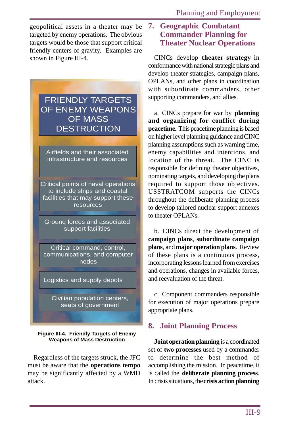<span id="page-29-0"></span>geopolitical assets in a theater may be targeted by enemy operations. The obvious targets would be those that support critical friendly centers of gravity. Examples are shown in Figure III-4.

## FRIENDLY TARGETS OF ENEMY WEAPONS OF MASS **DESTRUCTION**

Airfields and their associated infrastructure and resources

Critical points of naval operations to include ships and coastal facilities that may support these resources

Ground forces and associated support facilities

Critical command, control, communications, and computer nodes

Logistics and supply depots

Civilian population centers, seats of government

![](_page_29_Figure_9.jpeg)

Regardless of the targets struck, the JFC must be aware that the **operations tempo** may be significantly affected by a WMD attack.

## **7. Geographic Combatant Commander Planning for Theater Nuclear Operations**

CINCs develop **theater strategy** in conformance with national strategic plans and develop theater strategies, campaign plans, OPLANs, and other plans in coordination with subordinate commanders, other supporting commanders, and allies.

a. CINCs prepare for war by **planning and organizing for conflict during peacetime**. This peacetime planning is based on higher level planning guidance and CINC planning assumptions such as warning time, enemy capabilities and intentions, and location of the threat. The CINC is responsible for defining theater objectives, nominating targets, and developing the plans required to support those objectives. USSTRATCOM supports the CINCs throughout the deliberate planning process to develop tailored nuclear support annexes to theater OPLANs.

b. CINCs direct the development of **campaign plans**, **subordinate campaign plans**, and **major operation plans**. Review of these plans is a continuous process, incorporating lessons learned from exercises and operations, changes in available forces, and reevaluation of the threat.

c. Component commanders responsible for execution of major operations prepare appropriate plans.

## **8. Joint Planning Process**

**Joint operation planning** is a coordinated set of **two processes** used by a commander to determine the best method of accomplishing the mission. In peacetime, it is called the **deliberate planning process**. In crisis situations, the **crisis action planning**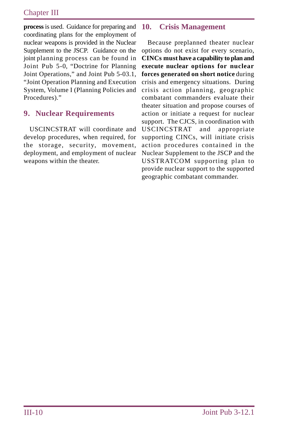<span id="page-30-0"></span>**process** is used. Guidance for preparing and coordinating plans for the employment of nuclear weapons is provided in the Nuclear Supplement to the JSCP. Guidance on the joint planning process can be found in Joint Pub 5-0, "Doctrine for Planning Joint Operations," and Joint Pub 5-03.1, "Joint Operation Planning and Execution System, Volume I (Planning Policies and Procedures)."

## **9. Nuclear Requirements**

USCINCSTRAT will coordinate and develop procedures, when required, for the storage, security, movement, deployment, and employment of nuclear weapons within the theater.

#### **10. Crisis Management**

Because preplanned theater nuclear options do not exist for every scenario, **CINCs must have a capability to plan and execute nuclear options for nuclear forces generated on short notice** during crisis and emergency situations. During crisis action planning, geographic combatant commanders evaluate their theater situation and propose courses of action or initiate a request for nuclear support. The CJCS, in coordination with USCINCSTRAT and appropriate supporting CINCs, will initiate crisis action procedures contained in the Nuclear Supplement to the JSCP and the USSTRATCOM supporting plan to provide nuclear support to the supported geographic combatant commander.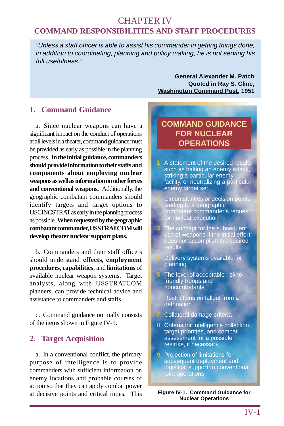## CHAPTER IV

## <span id="page-31-0"></span>**COMMAND RESPONSIBILITIES AND STAFF PROCEDURES**

"Unless a staff officer is able to assist his commander in getting things done, in addition to coordinating, planning and policy making, he is not serving his full usefulness."

#### **1. Command Guidance**

a. Since nuclear weapons can have a significant impact on the conduct of operations at all levels in a theater, command guidance must be provided as early as possible in the planning process. **In the initial guidance, commanders should provide information to their staffs and components about employing nuclear weapons as well as information on other forces and conventional weapons.** Additionally, the geographic combatant commanders should identify targets and target options to USCINCSTRAT as early in the planning process as possible. **When requested by the geographic combatant commander, USSTRATCOM will develop theater nuclear support plans.**

b. Commanders and their staff officers should understand **effects**, **employment procedures**, **capabilities**, and **limitations** of available nuclear weapon systems. Target analysts, along with USSTRATCOM planners, can provide technical advice and assistance to commanders and staffs.

c. Command guidance normally consists of the items shown in Figure IV-1.

#### **2. Target Acquisition**

a. In a conventional conflict, the primary purpose of intelligence is to provide commanders with sufficient information on enemy locations and probable courses of action so that they can apply combat power at decisive points and critical times. This

**General Alexander M. Patch Quoted in Ray S. Cline, Washington Command Post, 1951**

## **COMMAND GUIDANCE FOR NUCLEAR OPERATIONS**

- 1. A statement of the desired results such as halting an enemy attack striking a particular enemy facility, or neutralizing a particular enemy target set
	- Circumstances or decision points leading to a geographic combatant commander's request for nuclear execution
- 3. The concept for the subsequent use of weapons if the initial effort does not accomplish the desired **results** 
	- Delivery systems available for planning
- 5. The level of acceptable risk to friendly troops and noncombatants
	- Restrictions on fallout from a detonation
- 7. Collateral damage criteria
- 8. Criteria for intelligence collection, target priorities, and combat assessment for a possible restrike, if necessary
- 9. Projection of limitations for subsequent deployment and logistical support to conventional joint operations

**Figure IV-1. Command Guidance for Nuclear Operations**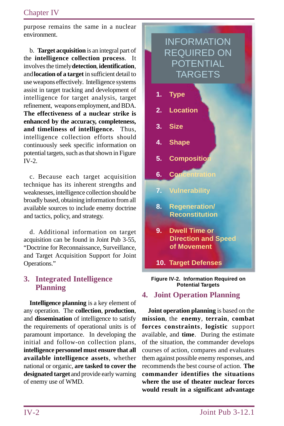<span id="page-32-0"></span>purpose remains the same in a nuclear environment.

b. **Target acquisition** is an integral part of the **intelligence collection process**. It involves the timely **detection**, **identification**, and **location of a target** in sufficient detail to use weapons effectively. Intelligence systems assist in target tracking and development of intelligence for target analysis, target refinement, weapons employment, and BDA. **The effectiveness of a nuclear strike is enhanced by the accuracy, completeness, and timeliness of intelligence.** Thus, intelligence collection efforts should continuously seek specific information on potential targets, such as that shown in Figure IV-2.

c. Because each target acquisition technique has its inherent strengths and weaknesses, intelligence collection should be broadly based, obtaining information from all available sources to include enemy doctrine and tactics, policy, and strategy.

d. Additional information on target acquisition can be found in Joint Pub 3-55, "Doctrine for Reconnaissance, Surveillance, and Target Acquisition Support for Joint Operations."

## **3. Integrated Intelligence Planning**

**Intelligence planning** is a key element of any operation. The **collection**, **production**, and **dissemination** of intelligence to satisfy the requirements of operational units is of paramount importance. In developing the initial and follow-on collection plans, **intelligence personnel must ensure that all available intelligence assets**, whether national or organic, **are tasked to cover the designated target** and provide early warning of enemy use of WMD.

## **INFORMATION** REQUIRED ON POTENTIAL TARGETS

|    | 1. Type                                                           |
|----|-------------------------------------------------------------------|
|    | 2. Location                                                       |
|    | 3. Size                                                           |
|    | 4. Shape                                                          |
| 5. | <b>Composition</b>                                                |
| 6. | <b>Concentration</b>                                              |
|    | 7. Vulnerability                                                  |
| 8. | <b>Regeneration/</b><br><b>Reconstitution</b>                     |
| 9. | <b>Dwell Time or</b><br><b>Direction and Speed</b><br>of Movement |
|    | <b>10. Target Defenses</b>                                        |
|    |                                                                   |

**Figure IV-2. Information Required on Potential Targets**

#### **4. Joint Operation Planning**

**Joint operation planning** is based on the **mission**, the **enemy**, **terrain**, **combat forces constraints**, **logistic** support available, and **time**. During the estimate of the situation, the commander develops courses of action, compares and evaluates them against possible enemy responses, and recommends the best course of action. **The commander identifies the situations where the use of theater nuclear forces would result in a significant advantage**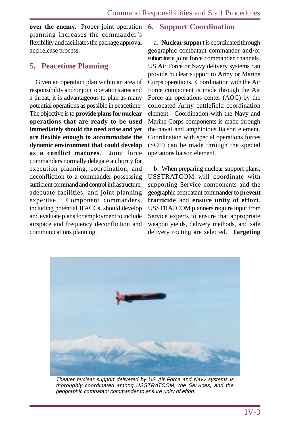<span id="page-33-0"></span>**over the enemy.** Proper joint operation planning increases the commander's flexibility and facilitates the package approval and release process.

## **5. Peacetime Planning**

Given an operation plan within an area of responsibility and/or joint operations area and a threat, it is advantageous to plan as many potential operations as possible in peacetime. The objective is to **provide plans for nuclear operations that are ready to be used immediately should the need arise and yet are flexible enough to accommodate the dynamic environment that could develop as a conflict matures**. Joint force commanders normally delegate authority for execution planning, coordination, and deconfliction to a commander possessing sufficient command and control infrastructure, adequate facilities, and joint planning expertise. Component commanders, including potential JFACCs, should develop and evaluate plans for employment to include airspace and frequency deconfliction and communications planning.

#### **6. Support Coordination**

a. **Nuclear support** is coordinated through geographic combatant commander and/or subordinate joint force commander channels. US Air Force or Navy delivery systems can provide nuclear support to Army or Marine Corps operations. Coordination with the Air Force component is made through the Air Force air operations center (AOC) by the collocated Army battlefield coordination element. Coordination with the Navy and Marine Corps components is made through the naval and amphibious liaison element. Coordination with special operations forces (SOF) can be made through the special operations liaison element.

b. When preparing nuclear support plans, USSTRATCOM will coordinate with supporting Service components and the geographic combatant commander to **prevent fratricide** and **ensure unity of effort**. USSTRATCOM planners require input from Service experts to ensure that appropriate weapon yields, delivery methods, and safe delivery routing are selected. **Targeting**

![](_page_33_Picture_7.jpeg)

Theater nuclear support delivered by US Air Force and Navy systems is thoroughly coordinated among USSTRATCOM, the Services, and the geographic combatant commander to ensure unity of effort.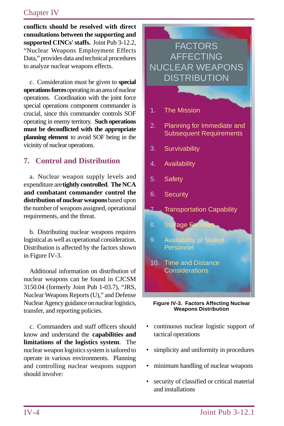<span id="page-34-0"></span>**conflicts should be resolved with direct consultations between the supporting and supported CINCs' staffs.** Joint Pub 3-12.2, "Nuclear Weapons Employment Effects Data," provides data and technical procedures to analyze nuclear weapons effects.

c. Consideration must be given to **special operations forces** operating in an area of nuclear operations. Coordination with the joint force special operations component commander is crucial, since this commander controls SOF operating in enemy territory. **Such operations must be deconflicted with the appropriate planning element** to avoid SOF being in the vicinity of nuclear operations.

## **7. Control and Distribution**

a. Nuclear weapon supply levels and expenditure are **tightly controlled**. **The NCA and combatant commander control the distribution of nuclear weapons** based upon the number of weapons assigned, operational requirements, and the threat.

b. Distributing nuclear weapons requires logistical as well as operational consideration. Distribution is affected by the factors shown in Figure IV-3.

Additional information on distribution of nuclear weapons can be found in CJCSM 3150.04 (formerly Joint Pub 1-03.7), "JRS, Nuclear Weapons Reports (U)," and Defense Nuclear Agency guidance on nuclear logistics, transfer, and reporting policies.

c. Commanders and staff officers should know and understand the **capabilities and limitations of the logistics system**. The nuclear weapon logistics system is tailored to operate in various environments. Planning and controlling nuclear weapons support should involve:

![](_page_34_Figure_8.jpeg)

#### **Figure IV-3. Factors Affecting Nuclear Weapons Distribution**

- continuous nuclear logistic support of tactical operations
- simplicity and uniformity in procedures
- minimum handling of nuclear weapons
- security of classified or critical material and installations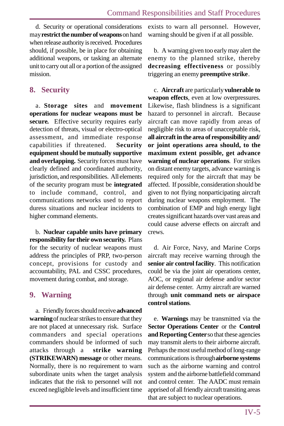<span id="page-35-0"></span>d. Security or operational considerations may **restrict the number of weapons** on hand when release authority is received. Procedures should, if possible, be in place for obtaining additional weapons, or tasking an alternate unit to carry out all or a portion of the assigned mission.

## **8. Security**

a. **Storage sites** and **movement operations for nuclear weapons must be secure.** Effective security requires early detection of threats, visual or electro-optical assessment, and immediate response capabilities if threatened. **Security equipment should be mutually supportive and overlapping.** Security forces must have clearly defined and coordinated authority, jurisdiction, and responsibilities. All elements of the security program must be **integrated** to include command, control, and communications networks used to report duress situations and nuclear incidents to higher command elements.

b. **Nuclear capable units have primary responsibility for their own security.** Plans for the security of nuclear weapons must address the principles of PRP, two-person concept, provisions for custody and accountability, PAL and CSSC procedures, movement during combat, and storage.

## **9. Warning**

a. Friendly forces should receive **advanced warning** of nuclear strikes to ensure that they are not placed at unnecessary risk. Surface commanders and special operations commanders should be informed of such attacks through a **strike warning (STRIKEWARN) message** or other means. Normally, there is no requirement to warn subordinate units when the target analysis indicates that the risk to personnel will not exceed negligible levels and insufficient time exists to warn all personnel. However, warning should be given if at all possible.

b. A warning given too early may alert the enemy to the planned strike, thereby **decreasing effectiveness** or possibly triggering an enemy **preemptive strike**.

c. **Aircraft** are particularly **vulnerable to weapon effects**, even at low overpressures. Likewise, flash blindness is a significant hazard to personnel in aircraft. Because aircraft can move rapidly from areas of negligible risk to areas of unacceptable risk, **all aircraft in the area of responsibility and/ or joint operations area should, to the maximum extent possible, get advance warning of nuclear operations**. For strikes on distant enemy targets, advance warning is required only for the aircraft that may be affected. If possible, consideration should be given to not flying nonparticipating aircraft during nuclear weapons employment. The combination of EMP and high energy light creates significant hazards over vast areas and could cause adverse effects on aircraft and crews.

d. Air Force, Navy, and Marine Corps aircraft may receive warning through the **senior air control facility**. This notification could be via the joint air operations center, AOC, or regional air defense and/or sector air defense center. Army aircraft are warned through **unit command nets or airspace control stations**.

e. **Warnings** may be transmitted via the **Sector Operations Center** or the **Control and Reporting Center** so that these agencies may transmit alerts to their airborne aircraft. Perhaps the most useful method of long-range communications is through **airborne systems** such as the airborne warning and control system and the airborne battlefield command and control center. The AADC must remain apprised of all friendly aircraft transiting areas that are subject to nuclear operations.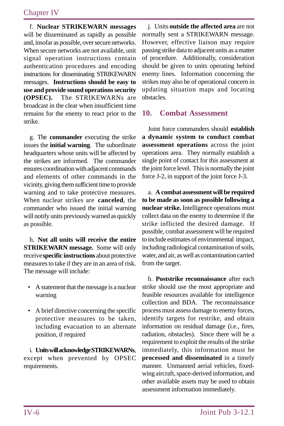f. **Nuclear STRIKEWARN messages** will be disseminated as rapidly as possible and, insofar as possible, over secure networks. When secure networks are not available, unit signal operation instructions contain authentication procedures and encoding instructions for disseminating STRIKEWARN messages. **Instructions should be easy to use and provide sound operations security (OPSEC).** The STRIKEWARNs are broadcast in the clear when insufficient time remains for the enemy to react prior to the strike.

g. The **commander** executing the strike issues the **initial warning**. The subordinate headquarters whose units will be affected by the strikes are informed. The commander ensures coordination with adjacent commands and elements of other commands in the vicinity, giving them sufficient time to provide warning and to take protective measures. When nuclear strikes are **canceled**, the commander who issued the initial warning will notify units previously warned as quickly as possible.

h. **Not all units will receive the entire STRIKEWARN message.** Some will only receive **specific instructions** about protective measures to take if they are in an area of risk. The message will include:

- A statement that the message is a nuclear warning
- A brief directive concerning the specific protective measures to be taken, including evacuation to an alternate position, if required

i. **Units will acknowledge STRIKEWARNs**, except when prevented by OPSEC requirements.

j. Units **outside the affected area** are not normally sent a STRIKEWARN message. However, effective liaison may require passing strike data to adjacent units as a matter of procedure. Additionally, consideration should be given to units operating behind enemy lines. Information concerning the strikes may also be of operational concern in updating situation maps and locating obstacles.

## **10. Combat Assessment**

Joint force commanders should **establish a dynamic system to conduct combat assessment operations** across the joint operations area. They normally establish a single point of contact for this assessment at the joint force level. This is normally the joint force J-2, in support of the joint force J-3.

a. **A combat assessment will be required to be made as soon as possible following a nuclear strike.** Intelligence operations must collect data on the enemy to determine if the strike inflicted the desired damage. If possible, combat assessment will be required to include estimates of environmental impact, including radiological contamination of soils, water, and air, as well as contamination carried from the target.

b. **Poststrike reconnaissance** after each strike should use the most appropriate and feasible resources available for intelligence collection and BDA. The reconnaissance process must assess damage to enemy forces, identify targets for restrike, and obtain information on residual damage (i.e., fires, radiation, obstacles). Since there will be a requirement to exploit the results of the strike immediately, this information must be **processed and disseminated** in a timely manner. Unmanned aerial vehicles, fixedwing aircraft, space-derived information, and other available assets may be used to obtain assessment information immediately.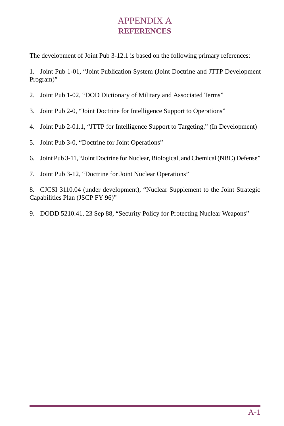## APPENDIX A **REFERENCES**

The development of Joint Pub 3-12.1 is based on the following primary references:

1. Joint Pub 1-01, "Joint Publication System (Joint Doctrine and JTTP Development Program)"

- 2. Joint Pub 1-02, "DOD Dictionary of Military and Associated Terms"
- 3. Joint Pub 2-0, "Joint Doctrine for Intelligence Support to Operations"
- 4. Joint Pub 2-01.1, "JTTP for Intelligence Support to Targeting," (In Development)
- 5. Joint Pub 3-0, "Doctrine for Joint Operations"
- 6. Joint Pub 3-11, "Joint Doctrine for Nuclear, Biological, and Chemical (NBC) Defense"
- 7. Joint Pub 3-12, "Doctrine for Joint Nuclear Operations"

8. CJCSI 3110.04 (under development), "Nuclear Supplement to the Joint Strategic Capabilities Plan (JSCP FY 96)"

9. DODD 5210.41, 23 Sep 88, "Security Policy for Protecting Nuclear Weapons"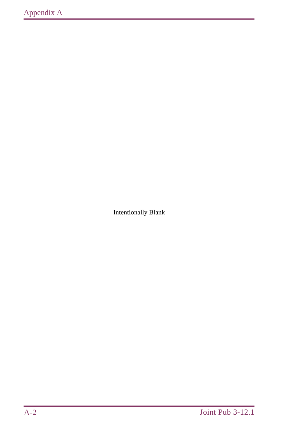Intentionally Blank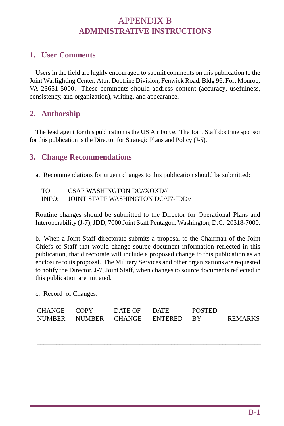## APPENDIX B **ADMINISTRATIVE INSTRUCTIONS**

## **1. User Comments**

Users in the field are highly encouraged to submit comments on this publication to the Joint Warfighting Center, Attn: Doctrine Division, Fenwick Road, Bldg 96, Fort Monroe, VA 23651-5000. These comments should address content (accuracy, usefulness, consistency, and organization), writing, and appearance.

## **2. Authorship**

The lead agent for this publication is the US Air Force. The Joint Staff doctrine sponsor for this publication is the Director for Strategic Plans and Policy (J-5).

## **3. Change Recommendations**

a. Recommendations for urgent changes to this publication should be submitted:

TO: CSAF WASHINGTON DC//XOXD// INFO: JOINT STAFF WASHINGTON DC//J7-JDD//

Routine changes should be submitted to the Director for Operational Plans and Interoperability (J-7), JDD, 7000 Joint Staff Pentagon, Washington, D.C. 20318-7000.

b. When a Joint Staff directorate submits a proposal to the Chairman of the Joint Chiefs of Staff that would change source document information reflected in this publication, that directorate will include a proposed change to this publication as an enclosure to its proposal. The Military Services and other organizations are requested to notify the Director, J-7, Joint Staff, when changes to source documents reflected in this publication are initiated.

c. Record of Changes:

| CHANGE | COPY<br>NUMBER NUMBER CHANGE | DATE OF | <b>DATE</b><br>ENTERED | <b>POSTED</b><br>ВY | <b>REMARKS</b> |
|--------|------------------------------|---------|------------------------|---------------------|----------------|
|--------|------------------------------|---------|------------------------|---------------------|----------------|

\_\_\_\_\_\_\_\_\_\_\_\_\_\_\_\_\_\_\_\_\_\_\_\_\_\_\_\_\_\_\_\_\_\_\_\_\_\_\_\_\_\_\_\_\_\_\_\_\_\_\_\_\_\_\_\_\_\_\_\_\_\_\_\_\_\_\_\_\_\_ \_\_\_\_\_\_\_\_\_\_\_\_\_\_\_\_\_\_\_\_\_\_\_\_\_\_\_\_\_\_\_\_\_\_\_\_\_\_\_\_\_\_\_\_\_\_\_\_\_\_\_\_\_\_\_\_\_\_\_\_\_\_\_\_\_\_\_\_\_\_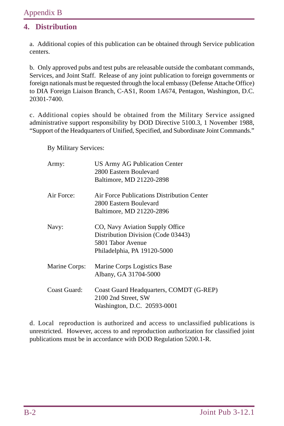## **4. Distribution**

a. Additional copies of this publication can be obtained through Service publication centers.

b. Only approved pubs and test pubs are releasable outside the combatant commands, Services, and Joint Staff. Release of any joint publication to foreign governments or foreign nationals must be requested through the local embassy (Defense Attache Office) to DIA Foreign Liaison Branch, C-AS1, Room 1A674, Pentagon, Washington, D.C. 20301-7400.

c. Additional copies should be obtained from the Military Service assigned administrative support responsibility by DOD Directive 5100.3, 1 November 1988, "Support of the Headquarters of Unified, Specified, and Subordinate Joint Commands."

By Military Services:

| Army:         | US Army AG Publication Center<br>2800 Eastern Boulevard<br>Baltimore, MD 21220-2898                                       |
|---------------|---------------------------------------------------------------------------------------------------------------------------|
| Air Force:    | Air Force Publications Distribution Center<br>2800 Eastern Boulevard<br>Baltimore, MD 21220-2896                          |
| Navy:         | CO, Navy Aviation Supply Office<br>Distribution Division (Code 03443)<br>5801 Tabor Avenue<br>Philadelphia, PA 19120-5000 |
| Marine Corps: | Marine Corps Logistics Base<br>Albany, GA 31704-5000                                                                      |
| Coast Guard:  | Coast Guard Headquarters, COMDT (G-REP)<br>2100 2nd Street, SW<br>Washington, D.C. 20593-0001                             |

d. Local reproduction is authorized and access to unclassified publications is unrestricted. However, access to and reproduction authorization for classified joint publications must be in accordance with DOD Regulation 5200.1-R.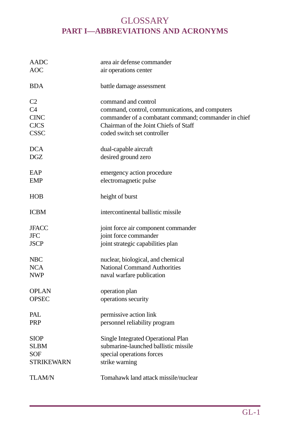## <span id="page-41-0"></span>GLOSSARY **PART I—ABBREVIATIONS AND ACRONYMS**

| AADC          | area air defense commander                           |
|---------------|------------------------------------------------------|
| AOC           | air operations center                                |
| <b>BDA</b>    | battle damage assessment                             |
| C2            | command and control                                  |
| C4            | command, control, communications, and computers      |
| <b>CINC</b>   | commander of a combatant command; commander in chief |
| <b>CJCS</b>   | Chairman of the Joint Chiefs of Staff                |
| <b>CSSC</b>   | coded switch set controller                          |
| DCA           | dual-capable aircraft                                |
| DGZ           | desired ground zero                                  |
| EAP           | emergency action procedure                           |
| EMP           | electromagnetic pulse                                |
|               |                                                      |
| HOB           | height of burst                                      |
| <b>ICBM</b>   | intercontinental ballistic missile                   |
| <b>JFACC</b>  | joint force air component commander                  |
| JFC           | joint force commander                                |
| JSCP          | joint strategic capabilities plan                    |
| NBC           | nuclear, biological, and chemical                    |
| <b>NCA</b>    | <b>National Command Authorities</b>                  |
| <b>NWP</b>    | naval warfare publication                            |
| <b>OPLAN</b>  | operation plan                                       |
| <b>OPSEC</b>  | operations security                                  |
| PAL           | permissive action link                               |
| <b>PRP</b>    | personnel reliability program                        |
| SIOP          | Single Integrated Operational Plan                   |
| <b>SLBM</b>   | submarine-launched ballistic missile                 |
| SOF           | special operations forces                            |
| STRIKEWARN    | strike warning                                       |
|               |                                                      |
| <b>TLAM/N</b> | Tomahawk land attack missile/nuclear                 |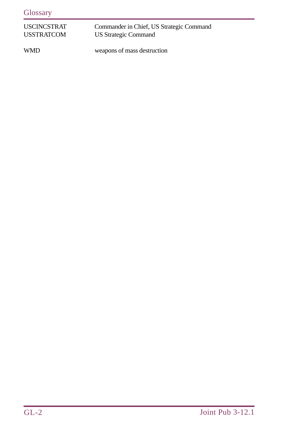## **Glossary**

| <b>USCINCSTRAT</b> | Commander in Chief, US Strategic Command |
|--------------------|------------------------------------------|
| <b>USSTRATCOM</b>  | US Strategic Command                     |
| <b>WMD</b>         | weapons of mass destruction              |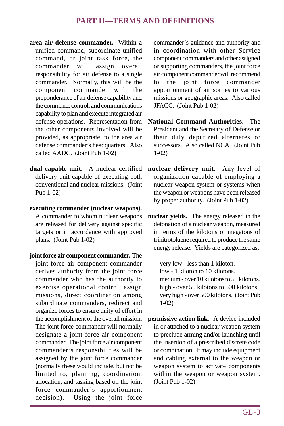#### **PART II—TERMS AND DEFINITIONS**

- <span id="page-43-0"></span>**area air defense commander.** Within a unified command, subordinate unified command, or joint task force, the commander will assign overall responsibility for air defense to a single commander. Normally, this will be the component commander with the preponderance of air defense capability and the command, control, and communications capability to plan and execute integrated air defense operations. Representation from the other components involved will be provided, as appropriate, to the area air defense commander's headquarters. Also called AADC. (Joint Pub 1-02)
- **dual capable unit.** A nuclear certified delivery unit capable of executing both conventional and nuclear missions. (Joint Pub 1-02)
- **executing commander (nuclear weapons).** A commander to whom nuclear weapons are released for delivery against specific targets or in accordance with approved plans. (Joint Pub 1-02)
- **joint force air component commander.** The joint force air component commander derives authority from the joint force commander who has the authority to exercise operational control, assign missions, direct coordination among subordinate commanders, redirect and organize forces to ensure unity of effort in the accomplishment of the overall mission. The joint force commander will normally designate a joint force air component commander. The joint force air component commander's responsibilities will be assigned by the joint force commander (normally these would include, but not be limited to, planning, coordination, allocation, and tasking based on the joint force commander's apportionment decision). Using the joint force

commander's guidance and authority and in coordination with other Service component commanders and other assigned or supporting commanders, the joint force air component commander will recommend to the joint force commander apportionment of air sorties to various missions or geographic areas. Also called JFACC. (Joint Pub 1-02)

- **National Command Authorities.** The President and the Secretary of Defense or their duly deputized alternates or successors. Also called NCA. (Joint Pub 1-02)
- **nuclear delivery unit.** Any level of organization capable of employing a nuclear weapon system or systems when the weapon or weapons have been released by proper authority. (Joint Pub 1-02)
- **nuclear yields.** The energy released in the detonation of a nuclear weapon, measured in terms of the kilotons or megatons of trinitrotoluene required to produce the same energy release. Yields are categorized as:

very low - less than 1 kiloton. low - 1 kiloton to 10 kilotons. medium - over 10 kilotons to 50 kilotons. high - over 50 kilotons to 500 kilotons. very high - over 500 kilotons. (Joint Pub 1-02)

**permissive action link.** A device included in or attached to a nuclear weapon system to preclude arming and/or launching until the insertion of a prescribed discrete code or combination. It may include equipment and cabling external to the weapon or weapon system to activate components within the weapon or weapon system. (Joint Pub 1-02)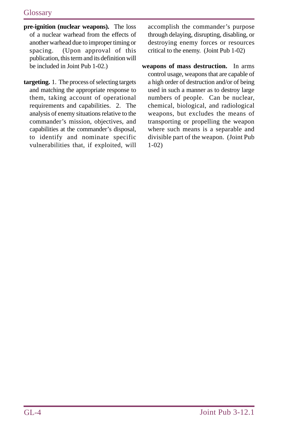- **pre-ignition (nuclear weapons).** The loss of a nuclear warhead from the effects of another warhead due to improper timing or spacing. (Upon approval of this publication, this term and its definition will be included in Joint Pub 1-02.)
- **targeting.** 1. The process of selecting targets and matching the appropriate response to them, taking account of operational requirements and capabilities. 2. The analysis of enemy situations relative to the commander's mission, objectives, and capabilities at the commander's disposal, to identify and nominate specific vulnerabilities that, if exploited, will

accomplish the commander's purpose through delaying, disrupting, disabling, or destroying enemy forces or resources critical to the enemy. (Joint Pub 1-02)

**weapons of mass destruction.** In arms control usage, weapons that are capable of a high order of destruction and/or of being used in such a manner as to destroy large numbers of people. Can be nuclear, chemical, biological, and radiological weapons, but excludes the means of transporting or propelling the weapon where such means is a separable and divisible part of the weapon. (Joint Pub 1-02)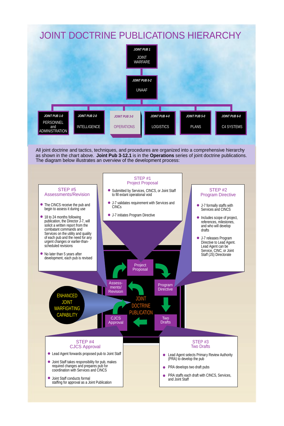![](_page_45_Figure_0.jpeg)